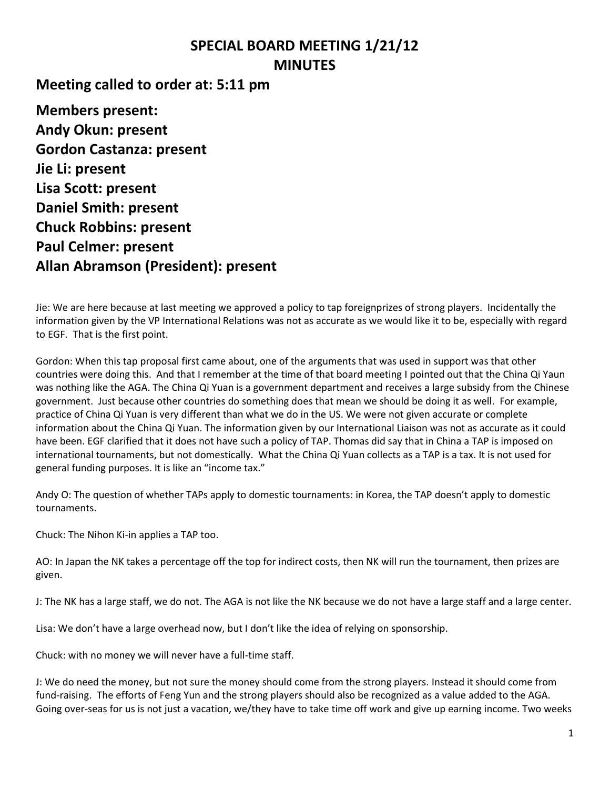## **SPECIAL BOARD MEETING 1/21/12 MINUTES**

**Meeting called to order at: 5:11 pm**

**Members present: Andy Okun: present Gordon Castanza: present Jie Li: present Lisa Scott: present Daniel Smith: present Chuck Robbins: present Paul Celmer: present Allan Abramson (President): present**

Jie: We are here because at last meeting we approved a policy to tap foreignprizes of strong players. Incidentally the information given by the VP International Relations was not as accurate as we would like it to be, especially with regard to EGF. That is the first point.

Gordon: When this tap proposal first came about, one of the arguments that was used in support was that other countries were doing this. And that I remember at the time of that board meeting I pointed out that the China Qi Yaun was nothing like the AGA. The China Qi Yuan is a government department and receives a large subsidy from the Chinese government. Just because other countries do something does that mean we should be doing it as well. For example, practice of China Qi Yuan is very different than what we do in the US. We were not given accurate or complete information about the China Qi Yuan. The information given by our International Liaison was not as accurate as it could have been. EGF clarified that it does not have such a policy of TAP. Thomas did say that in China a TAP is imposed on international tournaments, but not domestically. What the China Qi Yuan collects as a TAP is a tax. It is not used for general funding purposes. It is like an "income tax."

Andy O: The question of whether TAPs apply to domestic tournaments: in Korea, the TAP doesn't apply to domestic tournaments.

Chuck: The Nihon Ki-in applies a TAP too.

AO: In Japan the NK takes a percentage off the top for indirect costs, then NK will run the tournament, then prizes are given.

J: The NK has a large staff, we do not. The AGA is not like the NK because we do not have a large staff and a large center.

Lisa: We don't have a large overhead now, but I don't like the idea of relying on sponsorship.

Chuck: with no money we will never have a full-time staff.

J: We do need the money, but not sure the money should come from the strong players. Instead it should come from fund-raising. The efforts of Feng Yun and the strong players should also be recognized as a value added to the AGA. Going over-seas for us is not just a vacation, we/they have to take time off work and give up earning income. Two weeks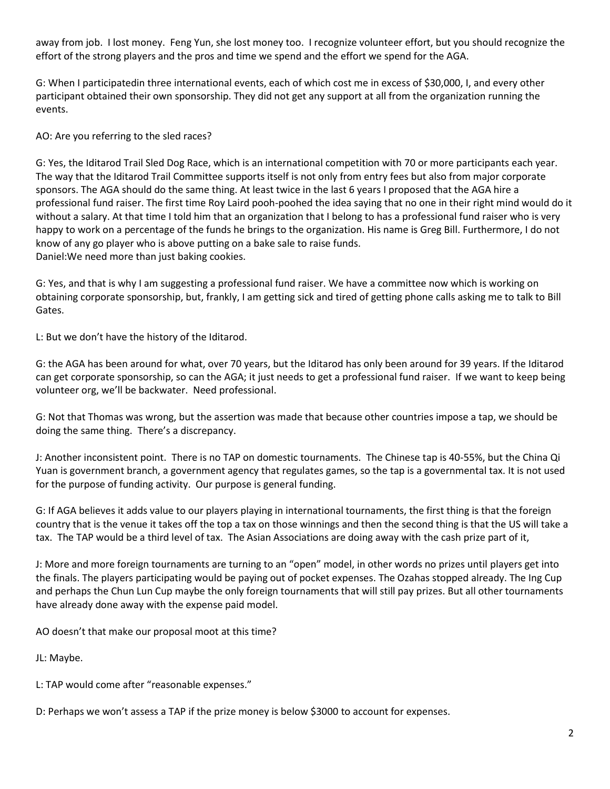away from job. I lost money. Feng Yun, she lost money too. I recognize volunteer effort, but you should recognize the effort of the strong players and the pros and time we spend and the effort we spend for the AGA.

G: When I participatedin three international events, each of which cost me in excess of \$30,000, I, and every other participant obtained their own sponsorship. They did not get any support at all from the organization running the events.

AO: Are you referring to the sled races?

G: Yes, the Iditarod Trail Sled Dog Race, which is an international competition with 70 or more participants each year. The way that the Iditarod Trail Committee supports itself is not only from entry fees but also from major corporate sponsors. The AGA should do the same thing. At least twice in the last 6 years I proposed that the AGA hire a professional fund raiser. The first time Roy Laird pooh-poohed the idea saying that no one in their right mind would do it without a salary. At that time I told him that an organization that I belong to has a professional fund raiser who is very happy to work on a percentage of the funds he brings to the organization. His name is Greg Bill. Furthermore, I do not know of any go player who is above putting on a bake sale to raise funds. Daniel:We need more than just baking cookies.

G: Yes, and that is why I am suggesting a professional fund raiser. We have a committee now which is working on obtaining corporate sponsorship, but, frankly, I am getting sick and tired of getting phone calls asking me to talk to Bill Gates.

L: But we don't have the history of the Iditarod.

G: the AGA has been around for what, over 70 years, but the Iditarod has only been around for 39 years. If the Iditarod can get corporate sponsorship, so can the AGA; it just needs to get a professional fund raiser. If we want to keep being volunteer org, we'll be backwater. Need professional.

G: Not that Thomas was wrong, but the assertion was made that because other countries impose a tap, we should be doing the same thing. There's a discrepancy.

J: Another inconsistent point. There is no TAP on domestic tournaments. The Chinese tap is 40-55%, but the China Qi Yuan is government branch, a government agency that regulates games, so the tap is a governmental tax. It is not used for the purpose of funding activity. Our purpose is general funding.

G: If AGA believes it adds value to our players playing in international tournaments, the first thing is that the foreign country that is the venue it takes off the top a tax on those winnings and then the second thing is that the US will take a tax. The TAP would be a third level of tax. The Asian Associations are doing away with the cash prize part of it,

J: More and more foreign tournaments are turning to an "open" model, in other words no prizes until players get into the finals. The players participating would be paying out of pocket expenses. The Ozahas stopped already. The Ing Cup and perhaps the Chun Lun Cup maybe the only foreign tournaments that will still pay prizes. But all other tournaments have already done away with the expense paid model.

AO doesn't that make our proposal moot at this time?

JL: Maybe.

L: TAP would come after "reasonable expenses."

D: Perhaps we won't assess a TAP if the prize money is below \$3000 to account for expenses.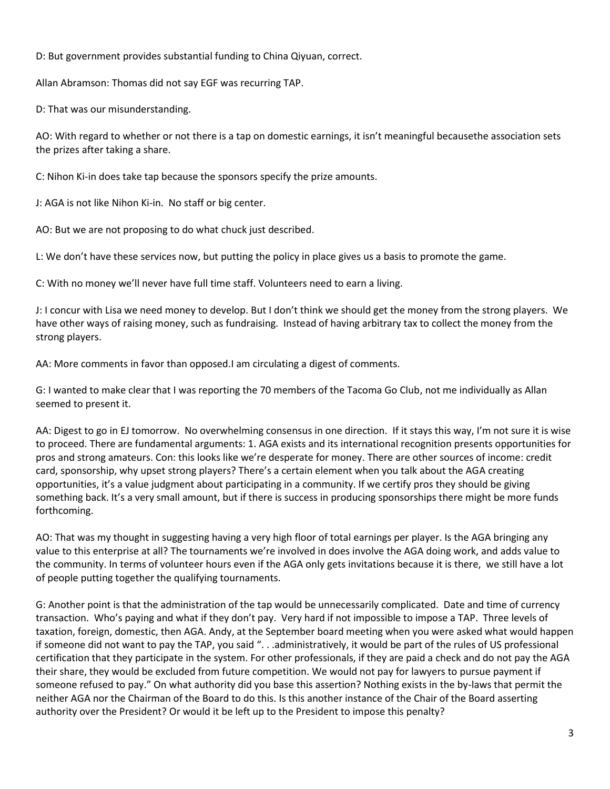D: But government provides substantial funding to China Qiyuan, correct.

Allan Abramson: Thomas did not say EGF was recurring TAP.

D: That was our misunderstanding.

AO: With regard to whether or not there is a tap on domestic earnings, it isn't meaningful becausethe association sets the prizes after taking a share.

C: Nihon Ki-in does take tap because the sponsors specify the prize amounts.

J: AGA is not like Nihon Ki-in. No staff or big center.

AO: But we are not proposing to do what chuck just described.

L: We don't have these services now, but putting the policy in place gives us a basis to promote the game.

C: With no money we'll never have full time staff. Volunteers need to earn a living.

J: I concur with Lisa we need money to develop. But I don't think we should get the money from the strong players. We have other ways of raising money, such as fundraising. Instead of having arbitrary tax to collect the money from the strong players.

AA: More comments in favor than opposed.I am circulating a digest of comments.

G: I wanted to make clear that I was reporting the 70 members of the Tacoma Go Club, not me individually as Allan seemed to present it.

AA: Digest to go in EJ tomorrow. No overwhelming consensus in one direction. If it stays this way, I'm not sure it is wise to proceed. There are fundamental arguments: 1. AGA exists and its international recognition presents opportunities for pros and strong amateurs. Con: this looks like we're desperate for money. There are other sources of income: credit card, sponsorship, why upset strong players? There's a certain element when you talk about the AGA creating opportunities, it's a value judgment about participating in a community. If we certify pros they should be giving something back. It's a very small amount, but if there is success in producing sponsorships there might be more funds forthcoming.

AO: That was my thought in suggesting having a very high floor of total earnings per player. Is the AGA bringing any value to this enterprise at all? The tournaments we're involved in does involve the AGA doing work, and adds value to the community. In terms of volunteer hours even if the AGA only gets invitations because it is there, we still have a lot of people putting together the qualifying tournaments.

G: Another point is that the administration of the tap would be unnecessarily complicated. Date and time of currency transaction. Who's paying and what if they don't pay. Very hard if not impossible to impose a TAP. Three levels of taxation, foreign, domestic, then AGA. Andy, at the September board meeting when you were asked what would happen if someone did not want to pay the TAP, you said ". . .administratively, it would be part of the rules of US professional certification that they participate in the system. For other professionals, if they are paid a check and do not pay the AGA their share, they would be excluded from future competition. We would not pay for lawyers to pursue payment if someone refused to pay." On what authority did you base this assertion? Nothing exists in the by-laws that permit the neither AGA nor the Chairman of the Board to do this. Is this another instance of the Chair of the Board asserting authority over the President? Or would it be left up to the President to impose this penalty?